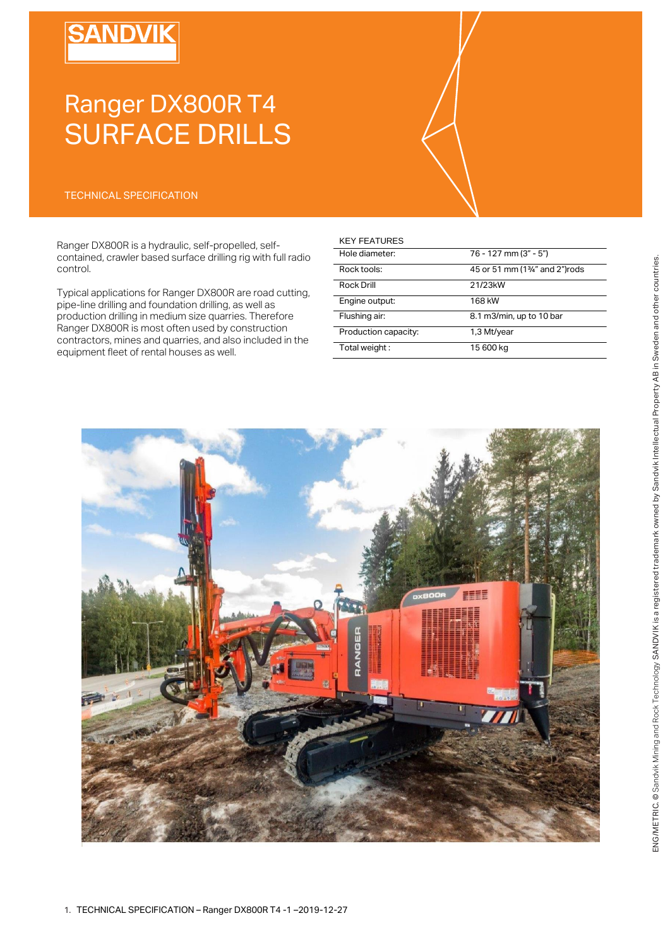# **SANDVIK**

# Ranger DX800R T4 SURFACE DRILLS

### TECHNICAL SPECIFICATION

Ranger DX800R is a hydraulic, self-propelled, selfcontained, crawler based surface drilling rig with full radio control.

Typical applications for Ranger DX800R are road cutting, pipe-line drilling and foundation drilling, as well as production drilling in medium size quarries. Therefore Ranger DX800R is most often used by construction contractors, mines and quarries, and also included in the equipment fleet of rental houses as well.

#### KEY FEATURES

| Hole diameter:       | 76 - 127 mm (3" - 5")                      |
|----------------------|--------------------------------------------|
| Rock tools:          | 45 or 51 mm (1 <sup>3/4"</sup> and 2")rods |
| Rock Drill           | 21/23kW                                    |
| Engine output:       | 168 kW                                     |
| Flushing air:        | 8.1 m3/min, up to 10 bar                   |
| Production capacity: | 1,3 Mt/year                                |
| Total weight:        | 15 600 kg                                  |

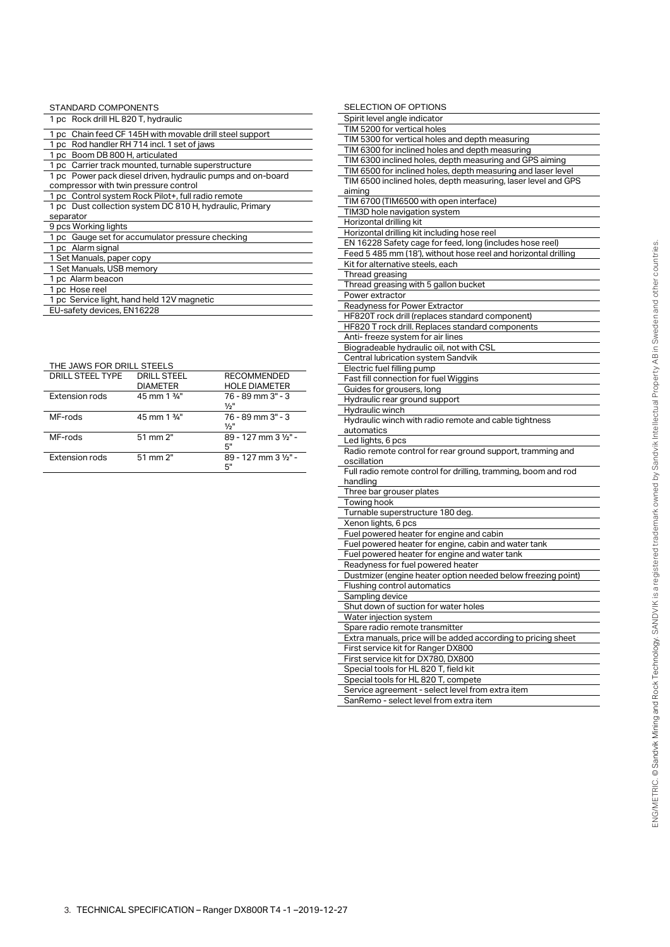| STANDARD COMPONENTS                                         |  |  |
|-------------------------------------------------------------|--|--|
| 1 pc Rock drill HL 820 T, hydraulic                         |  |  |
| 1 pc Chain feed CF 145H with movable drill steel support    |  |  |
| 1 pc Rod handler RH 714 incl. 1 set of jaws                 |  |  |
| 1 pc Boom DB 800 H, articulated                             |  |  |
| 1 pc Carrier track mounted, turnable superstructure         |  |  |
| 1 pc Power pack diesel driven, hydraulic pumps and on-board |  |  |
| compressor with twin pressure control                       |  |  |
| 1 pc Control system Rock Pilot+, full radio remote          |  |  |
| 1 pc Dust collection system DC 810 H, hydraulic, Primary    |  |  |
| separator                                                   |  |  |
| 9 pcs Working lights                                        |  |  |
| 1 pc Gauge set for accumulator pressure checking            |  |  |
| 1 pc Alarm signal                                           |  |  |
| 1 Set Manuals, paper copy                                   |  |  |
| 1 Set Manuals, USB memory                                   |  |  |
| 1 pc Alarm beacon                                           |  |  |
| 1 pc Hose reel                                              |  |  |
| 1 pc Service light, hand held 12V magnetic                  |  |  |

EU-safety devices, EN16228

THE JAWS FOR DRILL STEELS

| DRILL STEEL TYPE | <b>DRILL STEEL</b><br><b>DIAMETER</b> | <b>RECOMMENDED</b><br><b>HOLE DIAMETER</b> |
|------------------|---------------------------------------|--------------------------------------------|
| Extension rods   | 45 mm 1 %"                            | 76 - 89 mm 3" - 3<br>1/2"                  |
| MF-rods          | 45 mm 1 %"                            | 76 - 89 mm 3" - 3<br>1/2"                  |
| MF-rods          | 51 mm 2"                              | 89 - 127 mm 3 1/2" -<br>5"                 |
| Extension rods   | 51 mm 2"                              | 89 - 127 mm 3 1/2" -<br>5"                 |

| SELECTION OF OPTIONS                                           |
|----------------------------------------------------------------|
| Spirit level angle indicator                                   |
| TIM 5200 for vertical holes                                    |
| TIM 5300 for vertical holes and depth measuring                |
| TIM 6300 for inclined holes and depth measuring                |
| TIM 6300 inclined holes, depth measuring and GPS aiming        |
| TIM 6500 for inclined holes, depth measuring and laser level   |
| TIM 6500 inclined holes, depth measuring, laser level and GPS  |
| aiming                                                         |
| TIM 6700 (TIM6500 with open interface)                         |
| TIM3D hole navigation system                                   |
| Horizontal drilling kit                                        |
| Horizontal drilling kit including hose reel                    |
| EN 16228 Safety cage for feed, long (includes hose reel)       |
| Feed 5 485 mm (18'), without hose reel and horizontal drilling |
| Kit for alternative steels, each                               |
| Thread greasing                                                |
| Thread greasing with 5 gallon bucket                           |
| Power extractor                                                |
| Readyness for Power Extractor                                  |
| HF820T rock drill (replaces standard component)                |
| HF820 T rock drill. Replaces standard components               |
| Anti- freeze system for air lines                              |
| Biogradeable hydraulic oil, not with CSL                       |
| Central lubrication system Sandvik                             |
| Electric fuel filling pump                                     |
| Fast fill connection for fuel Wiggins                          |
| Guides for grousers, long                                      |
| Hydraulic rear ground support                                  |
| Hydraulic winch                                                |
| Hydraulic winch with radio remote and cable tightness          |
| automatics                                                     |
| Led lights, 6 pcs                                              |
| Radio remote control for rear ground support, tramming and     |
| oscillation                                                    |
| Full radio remote control for drilling, tramming, boom and rod |
| handling                                                       |
| Three bar grouser plates                                       |
| Towing hook                                                    |
| Turnable superstructure 180 deg.                               |
| Xenon lights, 6 pcs                                            |
| Fuel powered heater for engine and cabin                       |
| Fuel powered heater for engine, cabin and water tank           |
| Fuel powered heater for engine and water tank                  |
| Readyness for fuel powered heater                              |
| Dustmizer (engine heater option needed below freezing point)   |
| Flushing control automatics                                    |
| Sampling device                                                |
| Shut down of suction for water holes                           |
| Water injection system                                         |
| Spare radio remote transmitter                                 |
| Extra manuals, price will be added according to pricing sheet  |
| First service kit for Ranger DX800                             |
| First service kit for DX780, DX800                             |
| Special tools for HL 820 T, field kit                          |
| Special tools for HL 820 T, compete                            |
|                                                                |

SanRemo - select level from extra item